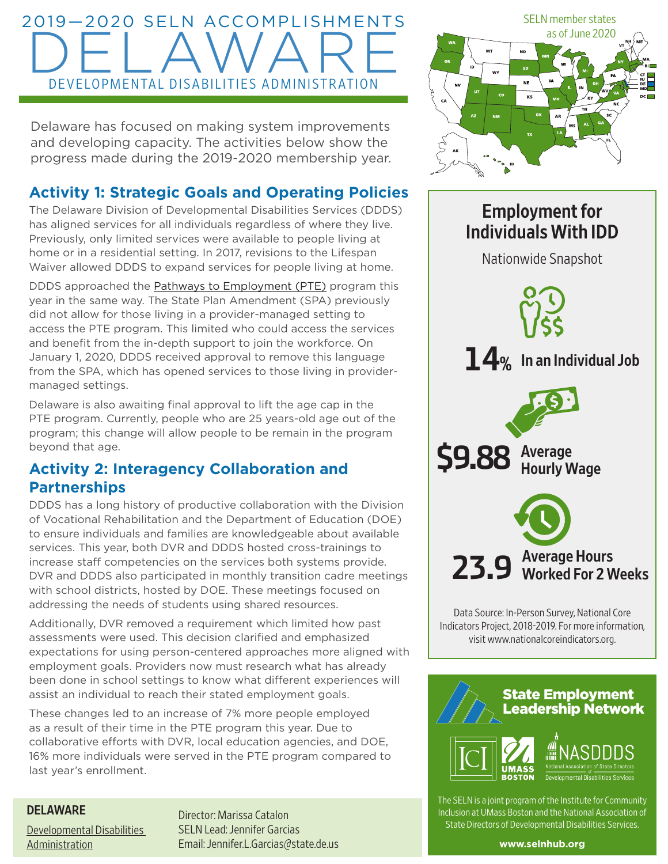# 2019—2020 SELN ACCOMPLISHMENTS DELAWARE DEVELOPMENTAL DISABILITIES ADMINISTRATION

Delaware has focused on making system improvements and developing capacity. The activities below show the progress made during the 2019-2020 membership year.

## **Activity 1: Strategic Goals and Operating Policies**

The Delaware Division of Developmental Disabilities Services (DDDS) has aligned services for all individuals regardless of where they live. Previously, only limited services were available to people living at home or in a residential setting. In 2017, revisions to the Lifespan Waiver allowed DDDS to expand services for people living at home.

DDDS approached the **Pathways to Employment (PTE)** program this year in the same way. The State Plan Amendment (SPA) previously did not allow for those living in a provider-managed setting to access the PTE program. This limited who could access the services and benefit from the in-depth support to join the workforce. On January 1, 2020, DDDS received approval to remove this language from the SPA, which has opened services to those living in providermanaged settings.

Delaware is also awaiting final approval to lift the age cap in the PTE program. Currently, people who are 25 years-old age out of the program; this change will allow people to be remain in the program beyond that age.

### **Activity 2: Interagency Collaboration and Partnerships**

DDDS has a long history of productive collaboration with the Division of Vocational Rehabilitation and the Department of Education (DOE) to ensure individuals and families are knowledgeable about available services. This year, both DVR and DDDS hosted cross-trainings to increase staff competencies on the services both systems provide. DVR and DDDS also participated in monthly transition cadre meetings with school districts, hosted by DOE. These meetings focused on addressing the needs of students using shared resources.

Additionally, DVR removed a requirement which limited how past assessments were used. This decision clarified and emphasized expectations for using person-centered approaches more aligned with employment goals. Providers now must research what has already been done in school settings to know what different experiences will assist an individual to reach their stated employment goals.

These changes led to an increase of 7% more people employed as a result of their time in the PTE program this year. Due to collaborative efforts with DVR, local education agencies, and DOE, 16% more individuals were served in the PTE program compared to last year's enrollment.

#### DELAWARE

Developmental Disabilities Administration

Director: Marissa Catalon SELN Lead: Jennifer Garcias Email: [Jennifer.L.Garcias@state.de.us](mailto:Jennifer.L.Garcias@state.de.us)



## Employment for Individuals With IDD

Nationwide Snapshot



Data Source: In-Person Survey, National Core Indicators Project, 2018-2019. For more information, visit [www.nationalcoreindicators.org](http://www.nationalcoreindicators.org).



The SELN is a joint program of the Institute for Community Inclusion at UMass Boston and the National Association of State Directors of Developmental Disabilities Services.

**[www.selnhub.org](http://www.selnhub.org)**